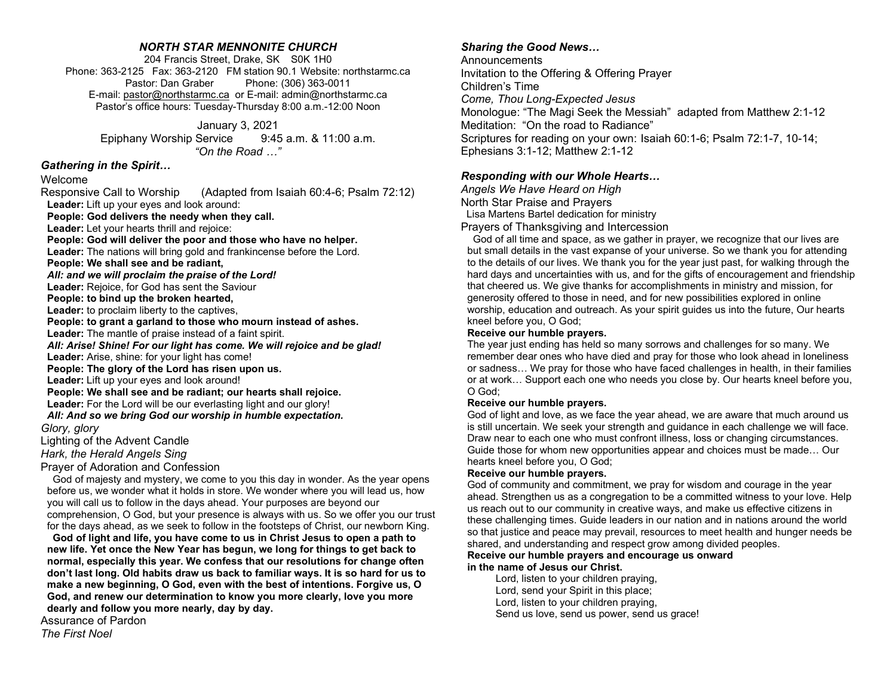## NORTH STAR MENNONITE CHURCH

204 Francis Street, Drake, SK S0K 1H0 Phone: 363-2125 Fax: 363-2120 FM station 90.1 Website: northstarmc.ca Pastor: Dan Graber Phone: (306) 363-0011 E-mail: pastor@northstarmc.ca or E-mail: admin@northstarmc.ca Pastor's office hours: Tuesday-Thursday 8:00 a.m.-12:00 Noon

January 3, 2021

Epiphany Worship Service 9:45 a.m. & 11:00 a.m. "On the Road …"

## Gathering in the Spirit…

Welcome

Responsive Call to Worship (Adapted from Isaiah 60:4-6; Psalm 72:12) Leader: Lift up your eyes and look around: People: God delivers the needy when they call. Leader: Let your hearts thrill and rejoice: People: God will deliver the poor and those who have no helper. Leader: The nations will bring gold and frankincense before the Lord. People: We shall see and be radiant, All: and we will proclaim the praise of the Lord! Leader: Rejoice, for God has sent the Saviour People: to bind up the broken hearted, Leader: to proclaim liberty to the captives, People: to grant a garland to those who mourn instead of ashes. Leader: The mantle of praise instead of a faint spirit. All: Arise! Shine! For our light has come. We will rejoice and be glad! Leader: Arise, shine: for your light has come! People: The glory of the Lord has risen upon us. Leader: Lift up your eyes and look around! People: We shall see and be radiant; our hearts shall rejoice. Leader: For the Lord will be our everlasting light and our glory! All: And so we bring God our worship in humble expectation. Glory, glory Lighting of the Advent Candle Hark, the Herald Angels Sing

Prayer of Adoration and Confession

 God of majesty and mystery, we come to you this day in wonder. As the year opens before us, we wonder what it holds in store. We wonder where you will lead us, how you will call us to follow in the days ahead. Your purposes are beyond our comprehension, O God, but your presence is always with us. So we offer you our trust for the days ahead, as we seek to follow in the footsteps of Christ, our newborn King.

 God of light and life, you have come to us in Christ Jesus to open a path to new life. Yet once the New Year has begun, we long for things to get back to normal, especially this year. We confess that our resolutions for change often don't last long. Old habits draw us back to familiar ways. It is so hard for us to make a new beginning, O God, even with the best of intentions. Forgive us, O God, and renew our determination to know you more clearly, love you more dearly and follow you more nearly, day by day.

Assurance of Pardon The First Noel

# Sharing the Good News…

**Announcements** Invitation to the Offering & Offering Prayer Children's Time Come, Thou Long-Expected Jesus Monologue: "The Magi Seek the Messiah" adapted from Matthew 2:1-12 Meditation: "On the road to Radiance" Scriptures for reading on your own: Isaiah 60:1-6; Psalm 72:1-7, 10-14; Ephesians 3:1-12; Matthew 2:1-12

# Responding with our Whole Hearts…

Angels We Have Heard on High North Star Praise and Prayers Lisa Martens Bartel dedication for ministry

Prayers of Thanksgiving and Intercession

 God of all time and space, as we gather in prayer, we recognize that our lives are but small details in the vast expanse of your universe. So we thank you for attending to the details of our lives. We thank you for the year just past, for walking through the hard days and uncertainties with us, and for the gifts of encouragement and friendship that cheered us. We give thanks for accomplishments in ministry and mission, for generosity offered to those in need, and for new possibilities explored in online worship, education and outreach. As your spirit guides us into the future, Our hearts kneel before you, O God;

#### Receive our humble prayers.

The year just ending has held so many sorrows and challenges for so many. We remember dear ones who have died and pray for those who look ahead in loneliness or sadness… We pray for those who have faced challenges in health, in their families or at work… Support each one who needs you close by. Our hearts kneel before you, O God;

### Receive our humble prayers.

God of light and love, as we face the year ahead, we are aware that much around us is still uncertain. We seek your strength and guidance in each challenge we will face. Draw near to each one who must confront illness, loss or changing circumstances. Guide those for whom new opportunities appear and choices must be made… Our hearts kneel before you, O God;

### Receive our humble prayers.

God of community and commitment, we pray for wisdom and courage in the year ahead. Strengthen us as a congregation to be a committed witness to your love. Help us reach out to our community in creative ways, and make us effective citizens in these challenging times. Guide leaders in our nation and in nations around the world so that justice and peace may prevail, resources to meet health and hunger needs be shared, and understanding and respect grow among divided peoples.

#### Receive our humble prayers and encourage us onward in the name of Jesus our Christ.

 Lord, listen to your children praying, Lord, send your Spirit in this place; Lord, listen to your children praying, Send us love, send us power, send us grace!